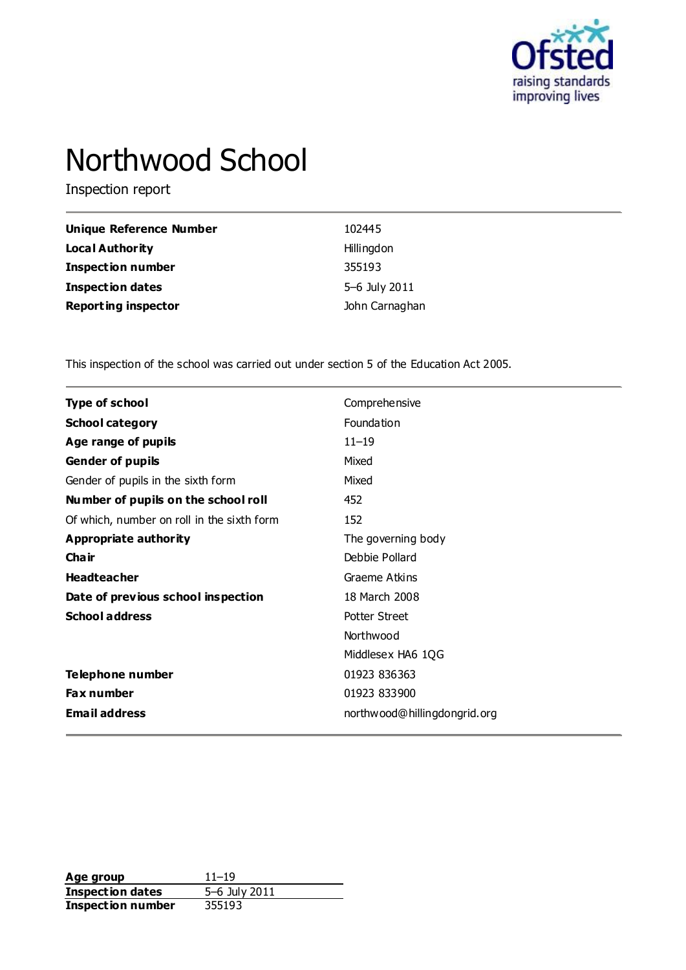

# Northwood School

Inspection report

| <b>Unique Reference Number</b> | 102445         |
|--------------------------------|----------------|
| Local Authority                | Hillingdon     |
| <b>Inspection number</b>       | 355193         |
| <b>Inspection dates</b>        | 5-6 July 2011  |
| <b>Reporting inspector</b>     | John Carnaghan |

This inspection of the school was carried out under section 5 of the Education Act 2005.

| <b>Type of school</b>                      | Comprehensive                |
|--------------------------------------------|------------------------------|
| <b>School category</b>                     | Foundation                   |
| Age range of pupils                        | $11 - 19$                    |
| Gender of pupils                           | Mixed                        |
| Gender of pupils in the sixth form         | Mixed                        |
| Number of pupils on the school roll        | 452                          |
| Of which, number on roll in the sixth form | 152                          |
| Appropriate authority                      | The governing body           |
| Cha ir                                     | Debbie Pollard               |
| <b>Headteacher</b>                         | Graeme Atkins                |
| Date of previous school inspection         | 18 March 2008                |
| <b>School address</b>                      | <b>Potter Street</b>         |
|                                            | Northwood                    |
|                                            | Middlesex HA6 1QG            |
| Telephone number                           | 01923 836363                 |
| Fax number                                 | 01923 833900                 |
| <b>Email address</b>                       | northwood@hillingdongrid.org |

**Age group** 11–19<br> **Inspection dates** 5–6 July 2011 **Inspection dates** 5–6 July 2011 **Inspection number** 355193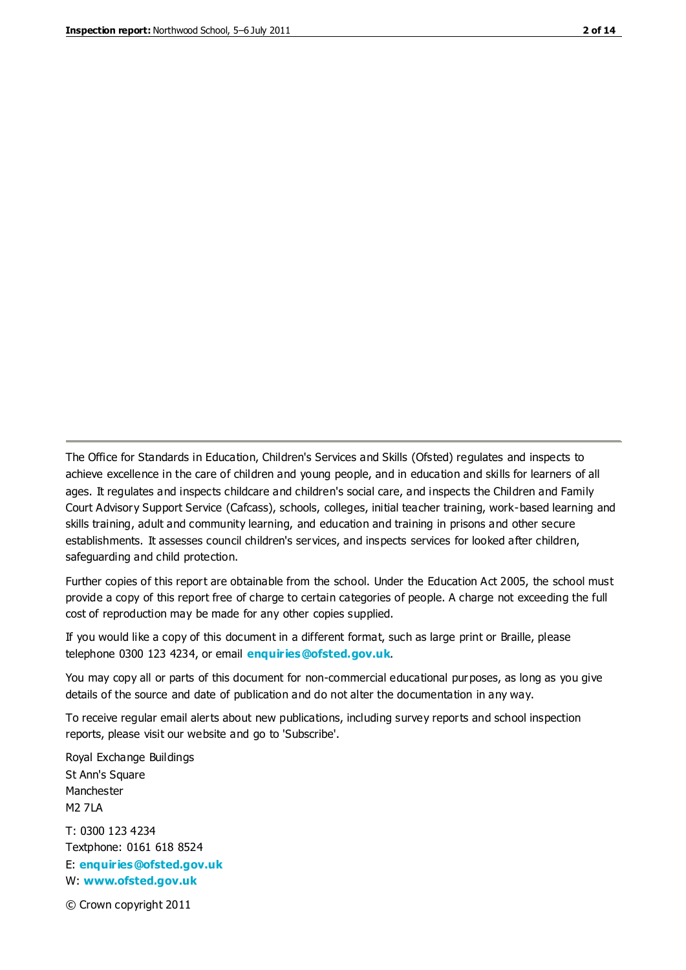The Office for Standards in Education, Children's Services and Skills (Ofsted) regulates and inspects to achieve excellence in the care of children and young people, and in education and skills for learners of all ages. It regulates and inspects childcare and children's social care, and inspects the Children and Family Court Advisory Support Service (Cafcass), schools, colleges, initial teacher training, work-based learning and skills training, adult and community learning, and education and training in prisons and other secure establishments. It assesses council children's services, and inspects services for looked after children, safeguarding and child protection.

Further copies of this report are obtainable from the school. Under the Education Act 2005, the school must provide a copy of this report free of charge to certain categories of people. A charge not exceeding the full cost of reproduction may be made for any other copies supplied.

If you would like a copy of this document in a different format, such as large print or Braille, please telephone 0300 123 4234, or email **[enquiries@ofsted.gov.uk](mailto:enquiries@ofsted.gov.uk)**.

You may copy all or parts of this document for non-commercial educational purposes, as long as you give details of the source and date of publication and do not alter the documentation in any way.

To receive regular email alerts about new publications, including survey reports and school inspection reports, please visit our website and go to 'Subscribe'.

Royal Exchange Buildings St Ann's Square Manchester M2 7LA T: 0300 123 4234 Textphone: 0161 618 8524 E: **[enquiries@ofsted.gov.uk](mailto:enquiries@ofsted.gov.uk)**

W: **[www.ofsted.gov.uk](http://www.ofsted.gov.uk/)**

© Crown copyright 2011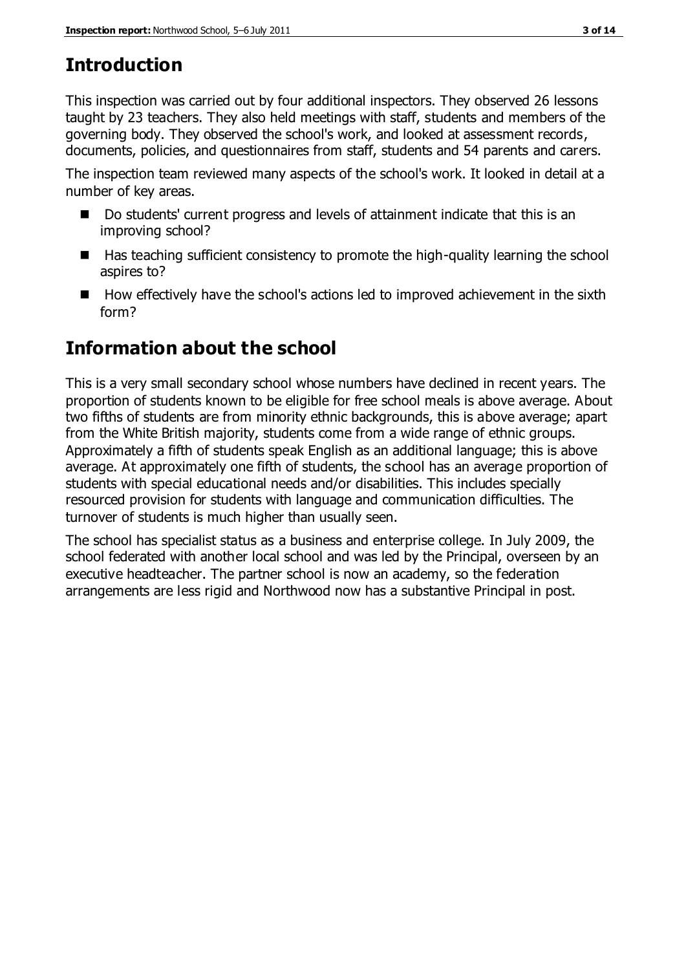# **Introduction**

This inspection was carried out by four additional inspectors. They observed 26 lessons taught by 23 teachers. They also held meetings with staff, students and members of the governing body. They observed the school's work, and looked at assessment records, documents, policies, and questionnaires from staff, students and 54 parents and carers.

The inspection team reviewed many aspects of the school's work. It looked in detail at a number of key areas.

- Do students' current progress and levels of attainment indicate that this is an improving school?
- $\blacksquare$  Has teaching sufficient consistency to promote the high-quality learning the school aspires to?
- How effectively have the school's actions led to improved achievement in the sixth form?

# **Information about the school**

This is a very small secondary school whose numbers have declined in recent years. The proportion of students known to be eligible for free school meals is above average. About two fifths of students are from minority ethnic backgrounds, this is above average; apart from the White British majority, students come from a wide range of ethnic groups. Approximately a fifth of students speak English as an additional language; this is above average. At approximately one fifth of students, the school has an average proportion of students with special educational needs and/or disabilities. This includes specially resourced provision for students with language and communication difficulties. The turnover of students is much higher than usually seen.

The school has specialist status as a business and enterprise college. In July 2009, the school federated with another local school and was led by the Principal, overseen by an executive headteacher. The partner school is now an academy, so the federation arrangements are less rigid and Northwood now has a substantive Principal in post.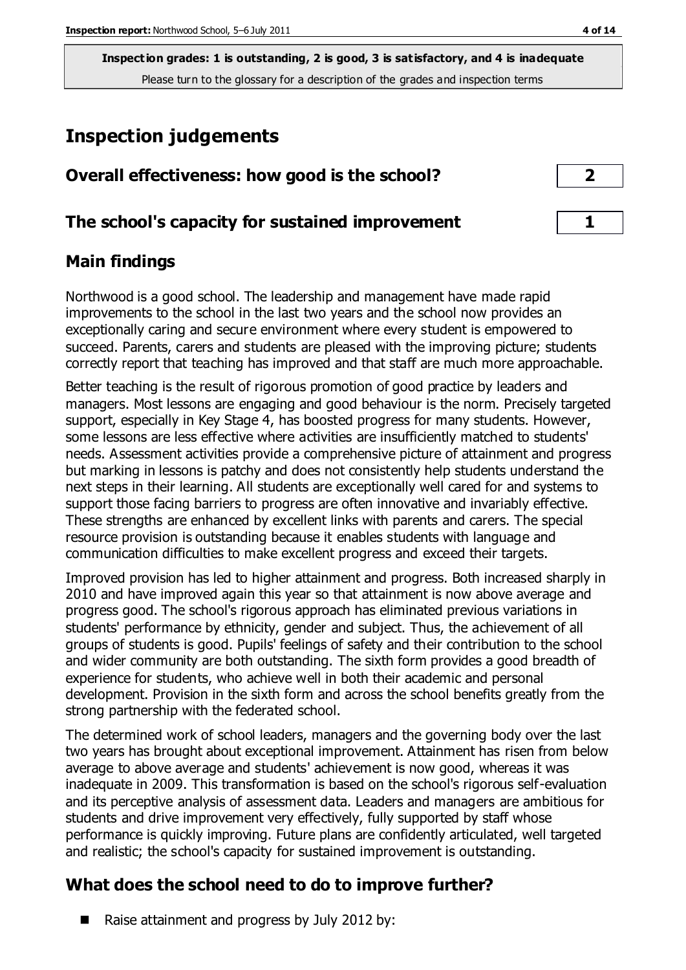# **Inspection judgements**

| Overall effectiveness: how good is the school?  | $\overline{2}$ |
|-------------------------------------------------|----------------|
| The school's capacity for sustained improvement |                |

# **Main findings**

Northwood is a good school. The leadership and management have made rapid improvements to the school in the last two years and the school now provides an exceptionally caring and secure environment where every student is empowered to succeed. Parents, carers and students are pleased with the improving picture; students correctly report that teaching has improved and that staff are much more approachable.

Better teaching is the result of rigorous promotion of good practice by leaders and managers. Most lessons are engaging and good behaviour is the norm. Precisely targeted support, especially in Key Stage 4, has boosted progress for many students. However, some lessons are less effective where activities are insufficiently matched to students' needs. Assessment activities provide a comprehensive picture of attainment and progress but marking in lessons is patchy and does not consistently help students understand the next steps in their learning. All students are exceptionally well cared for and systems to support those facing barriers to progress are often innovative and invariably effective. These strengths are enhanced by excellent links with parents and carers. The special resource provision is outstanding because it enables students with language and communication difficulties to make excellent progress and exceed their targets.

Improved provision has led to higher attainment and progress. Both increased sharply in 2010 and have improved again this year so that attainment is now above average and progress good. The school's rigorous approach has eliminated previous variations in students' performance by ethnicity, gender and subject. Thus, the achievement of all groups of students is good. Pupils' feelings of safety and their contribution to the school and wider community are both outstanding. The sixth form provides a good breadth of experience for students, who achieve well in both their academic and personal development. Provision in the sixth form and across the school benefits greatly from the strong partnership with the federated school.

The determined work of school leaders, managers and the governing body over the last two years has brought about exceptional improvement. Attainment has risen from below average to above average and students' achievement is now good, whereas it was inadequate in 2009. This transformation is based on the school's rigorous self-evaluation and its perceptive analysis of assessment data. Leaders and managers are ambitious for students and drive improvement very effectively, fully supported by staff whose performance is quickly improving. Future plans are confidently articulated, well targeted and realistic; the school's capacity for sustained improvement is outstanding.

# **What does the school need to do to improve further?**

■ Raise attainment and progress by July 2012 by: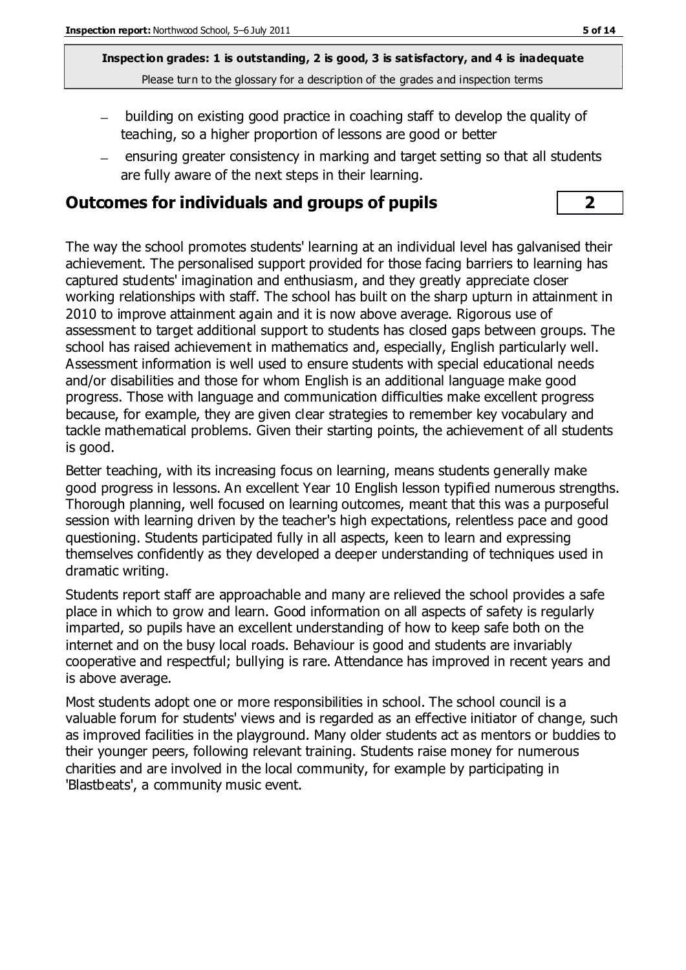- building on existing good practice in coaching staff to develop the quality of teaching, so a higher proportion of lessons are good or better
- ensuring greater consistency in marking and target setting so that all students  $\equiv$ are fully aware of the next steps in their learning.

# **Outcomes for individuals and groups of pupils 2**

The way the school promotes students' learning at an individual level has galvanised their achievement. The personalised support provided for those facing barriers to learning has captured students' imagination and enthusiasm, and they greatly appreciate closer working relationships with staff. The school has built on the sharp upturn in attainment in 2010 to improve attainment again and it is now above average. Rigorous use of assessment to target additional support to students has closed gaps between groups. The school has raised achievement in mathematics and, especially, English particularly well. Assessment information is well used to ensure students with special educational needs and/or disabilities and those for whom English is an additional language make good progress. Those with language and communication difficulties make excellent progress because, for example, they are given clear strategies to remember key vocabulary and tackle mathematical problems. Given their starting points, the achievement of all students is good.

Better teaching, with its increasing focus on learning, means students generally make good progress in lessons. An excellent Year 10 English lesson typified numerous strengths. Thorough planning, well focused on learning outcomes, meant that this was a purposeful session with learning driven by the teacher's high expectations, relentless pace and good questioning. Students participated fully in all aspects, keen to learn and expressing themselves confidently as they developed a deeper understanding of techniques used in dramatic writing.

Students report staff are approachable and many are relieved the school provides a safe place in which to grow and learn. Good information on all aspects of safety is regularly imparted, so pupils have an excellent understanding of how to keep safe both on the internet and on the busy local roads. Behaviour is good and students are invariably cooperative and respectful; bullying is rare. Attendance has improved in recent years and is above average.

Most students adopt one or more responsibilities in school. The school council is a valuable forum for students' views and is regarded as an effective initiator of change, such as improved facilities in the playground. Many older students act as mentors or buddies to their younger peers, following relevant training. Students raise money for numerous charities and are involved in the local community, for example by participating in 'Blastbeats', a community music event.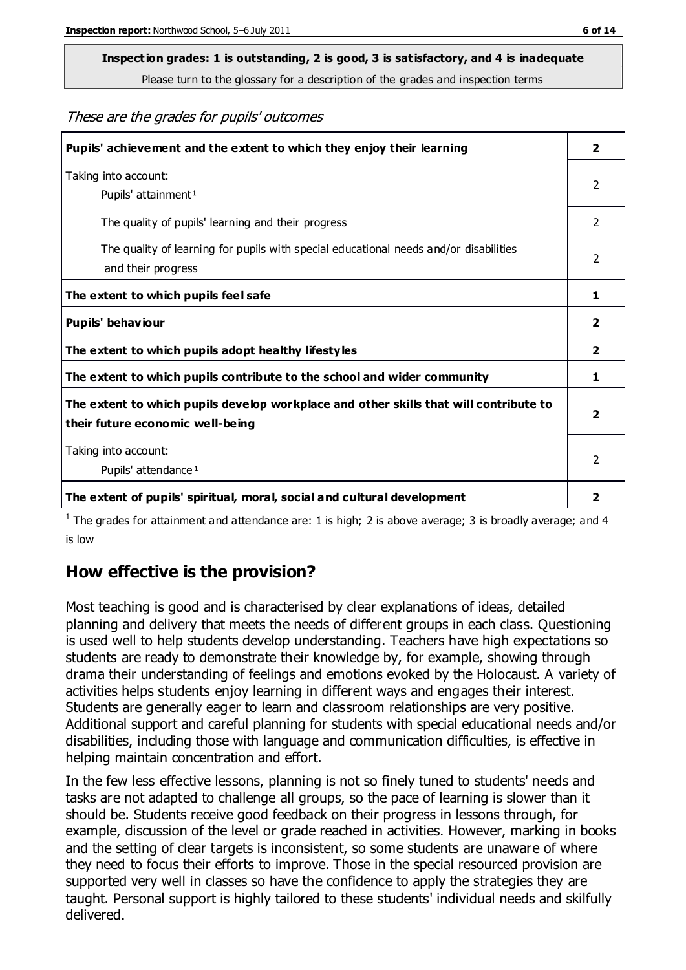# **Inspection grades: 1 is outstanding, 2 is good, 3 is satisfactory, and 4 is inadequate**

Please turn to the glossary for a description of the grades and inspection terms

These are the grades for pupils' outcomes

| Pupils' achievement and the extent to which they enjoy their learning                                                     | $\overline{2}$ |
|---------------------------------------------------------------------------------------------------------------------------|----------------|
| Taking into account:<br>Pupils' attainment <sup>1</sup>                                                                   | 2              |
| The quality of pupils' learning and their progress                                                                        | $\mathcal{P}$  |
| The quality of learning for pupils with special educational needs and/or disabilities<br>and their progress               | $\overline{2}$ |
| The extent to which pupils feel safe                                                                                      | 1              |
| Pupils' behaviour                                                                                                         | 2              |
| The extent to which pupils adopt healthy lifestyles                                                                       | 2              |
| The extent to which pupils contribute to the school and wider community                                                   | 1              |
| The extent to which pupils develop workplace and other skills that will contribute to<br>their future economic well-being |                |
| Taking into account:<br>Pupils' attendance <sup>1</sup>                                                                   | $\mathfrak{p}$ |
| The extent of pupils' spiritual, moral, social and cultural development                                                   | 2              |

<sup>1</sup> The grades for attainment and attendance are: 1 is high; 2 is above average; 3 is broadly average; and 4 is low

# **How effective is the provision?**

Most teaching is good and is characterised by clear explanations of ideas, detailed planning and delivery that meets the needs of different groups in each class. Questioning is used well to help students develop understanding. Teachers have high expectations so students are ready to demonstrate their knowledge by, for example, showing through drama their understanding of feelings and emotions evoked by the Holocaust. A variety of activities helps students enjoy learning in different ways and engages their interest. Students are generally eager to learn and classroom relationships are very positive. Additional support and careful planning for students with special educational needs and/or disabilities, including those with language and communication difficulties, is effective in helping maintain concentration and effort.

In the few less effective lessons, planning is not so finely tuned to students' needs and tasks are not adapted to challenge all groups, so the pace of learning is slower than it should be. Students receive good feedback on their progress in lessons through, for example, discussion of the level or grade reached in activities. However, marking in books and the setting of clear targets is inconsistent, so some students are unaware of where they need to focus their efforts to improve. Those in the special resourced provision are supported very well in classes so have the confidence to apply the strategies they are taught. Personal support is highly tailored to these students' individual needs and skilfully delivered.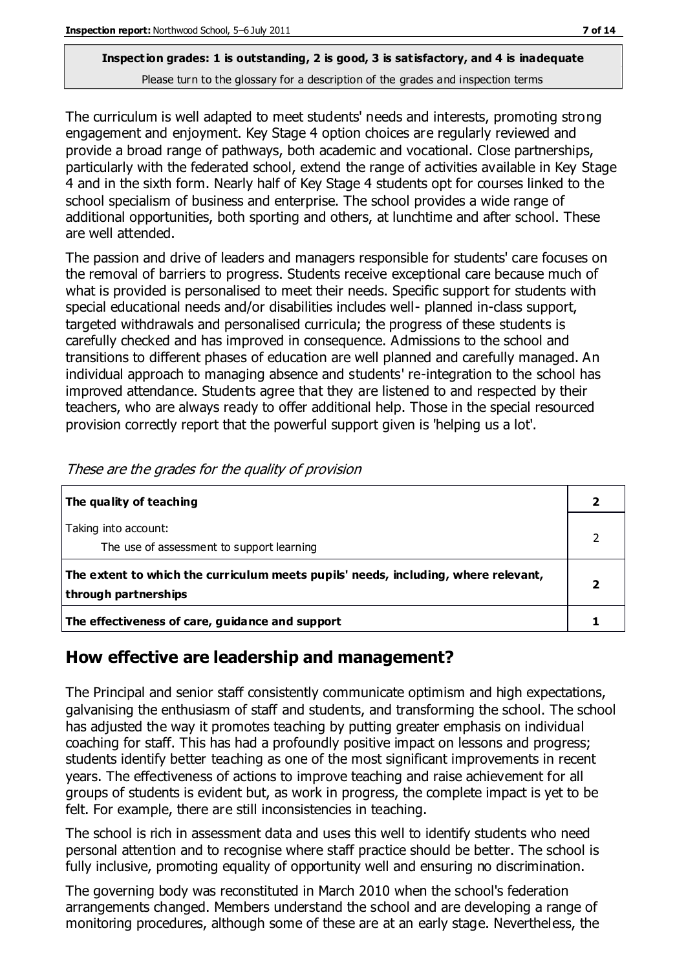The curriculum is well adapted to meet students' needs and interests, promoting strong engagement and enjoyment. Key Stage 4 option choices are regularly reviewed and provide a broad range of pathways, both academic and vocational. Close partnerships, particularly with the federated school, extend the range of activities available in Key Stage 4 and in the sixth form. Nearly half of Key Stage 4 students opt for courses linked to the school specialism of business and enterprise. The school provides a wide range of additional opportunities, both sporting and others, at lunchtime and after school. These are well attended.

The passion and drive of leaders and managers responsible for students' care focuses on the removal of barriers to progress. Students receive exceptional care because much of what is provided is personalised to meet their needs. Specific support for students with special educational needs and/or disabilities includes well- planned in-class support, targeted withdrawals and personalised curricula; the progress of these students is carefully checked and has improved in consequence. Admissions to the school and transitions to different phases of education are well planned and carefully managed. An individual approach to managing absence and students' re-integration to the school has improved attendance. Students agree that they are listened to and respected by their teachers, who are always ready to offer additional help. Those in the special resourced provision correctly report that the powerful support given is 'helping us a lot'.

| The quality of teaching                                                                                    |  |
|------------------------------------------------------------------------------------------------------------|--|
| Taking into account:<br>The use of assessment to support learning                                          |  |
| The extent to which the curriculum meets pupils' needs, including, where relevant,<br>through partnerships |  |
| The effectiveness of care, guidance and support                                                            |  |

These are the grades for the quality of provision

### **How effective are leadership and management?**

The Principal and senior staff consistently communicate optimism and high expectations, galvanising the enthusiasm of staff and students, and transforming the school. The school has adjusted the way it promotes teaching by putting greater emphasis on individual coaching for staff. This has had a profoundly positive impact on lessons and progress; students identify better teaching as one of the most significant improvements in recent years. The effectiveness of actions to improve teaching and raise achievement for all groups of students is evident but, as work in progress, the complete impact is yet to be felt. For example, there are still inconsistencies in teaching.

The school is rich in assessment data and uses this well to identify students who need personal attention and to recognise where staff practice should be better. The school is fully inclusive, promoting equality of opportunity well and ensuring no discrimination.

The governing body was reconstituted in March 2010 when the school's federation arrangements changed. Members understand the school and are developing a range of monitoring procedures, although some of these are at an early stage. Nevertheless, the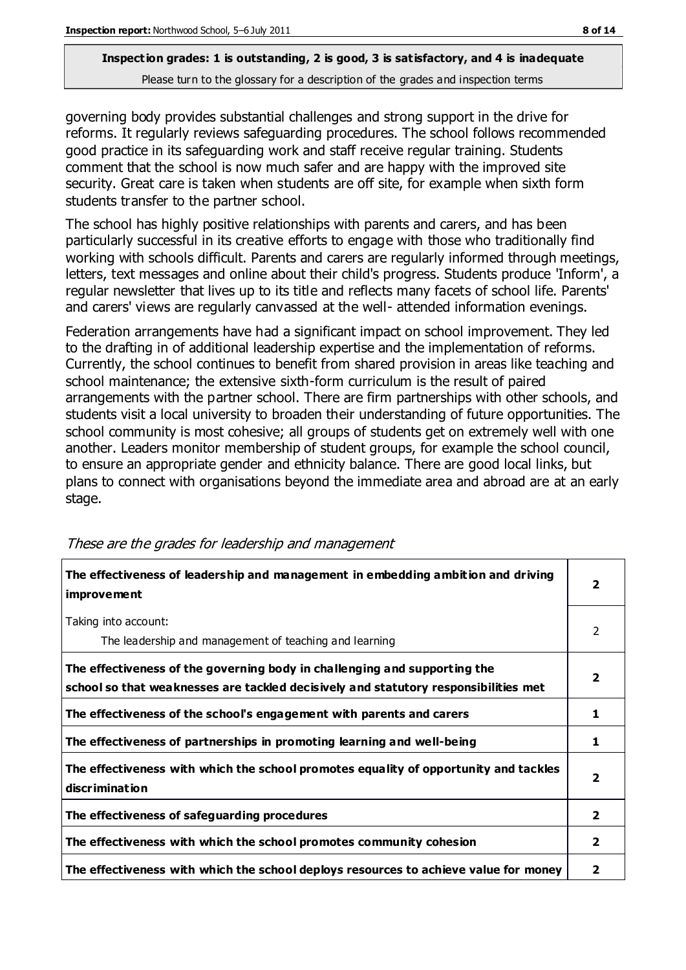governing body provides substantial challenges and strong support in the drive for reforms. It regularly reviews safeguarding procedures. The school follows recommended good practice in its safeguarding work and staff receive regular training. Students comment that the school is now much safer and are happy with the improved site security. Great care is taken when students are off site, for example when sixth form students transfer to the partner school.

The school has highly positive relationships with parents and carers, and has been particularly successful in its creative efforts to engage with those who traditionally find working with schools difficult. Parents and carers are regularly informed through meetings, letters, text messages and online about their child's progress. Students produce 'Inform', a regular newsletter that lives up to its title and reflects many facets of school life. Parents' and carers' views are regularly canvassed at the well- attended information evenings.

Federation arrangements have had a significant impact on school improvement. They led to the drafting in of additional leadership expertise and the implementation of reforms. Currently, the school continues to benefit from shared provision in areas like teaching and school maintenance; the extensive sixth-form curriculum is the result of paired arrangements with the partner school. There are firm partnerships with other schools, and students visit a local university to broaden their understanding of future opportunities. The school community is most cohesive; all groups of students get on extremely well with one another. Leaders monitor membership of student groups, for example the school council, to ensure an appropriate gender and ethnicity balance. There are good local links, but plans to connect with organisations beyond the immediate area and abroad are at an early stage.

| The effectiveness of leadership and management in embedding ambition and driving<br>improvement                                                                  |                |
|------------------------------------------------------------------------------------------------------------------------------------------------------------------|----------------|
| Taking into account:<br>The leadership and management of teaching and learning                                                                                   | 2              |
| The effectiveness of the governing body in challenging and supporting the<br>school so that weaknesses are tackled decisively and statutory responsibilities met | 2              |
| The effectiveness of the school's engagement with parents and carers                                                                                             | 1              |
| The effectiveness of partnerships in promoting learning and well-being                                                                                           | 1              |
| The effectiveness with which the school promotes equality of opportunity and tackles<br>discrimination                                                           | 2              |
| The effectiveness of safeguarding procedures                                                                                                                     | $\overline{2}$ |
| The effectiveness with which the school promotes community cohesion                                                                                              | 2              |
| The effectiveness with which the school deploys resources to achieve value for money                                                                             | 2              |

#### These are the grades for leadership and management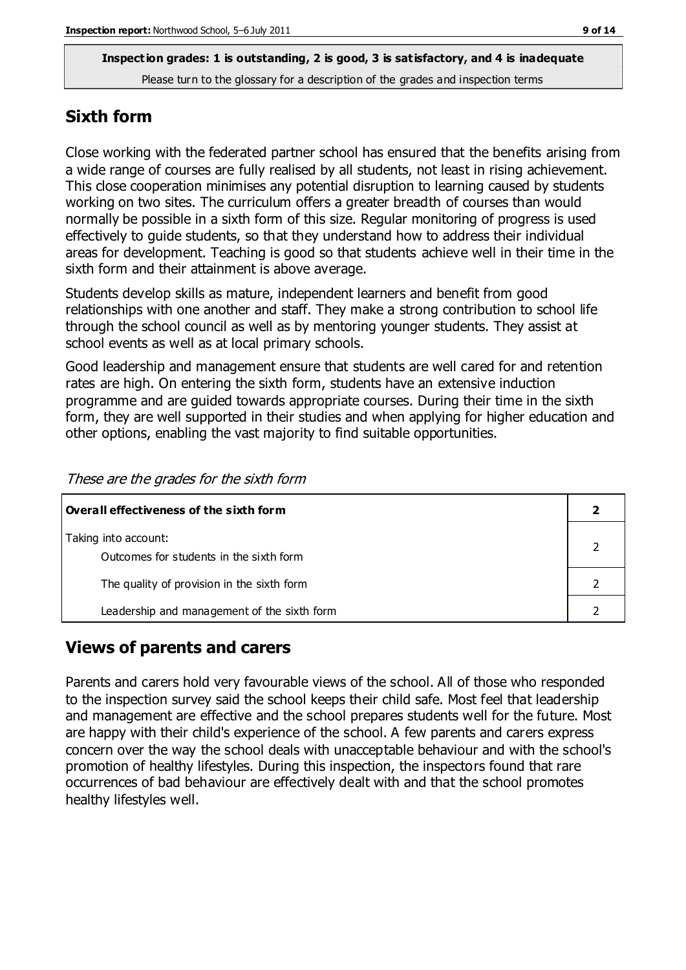### **Sixth form**

Close working with the federated partner school has ensured that the benefits arising from a wide range of courses are fully realised by all students, not least in rising achievement. This close cooperation minimises any potential disruption to learning caused by students working on two sites. The curriculum offers a greater breadth of courses than would normally be possible in a sixth form of this size. Regular monitoring of progress is used effectively to guide students, so that they understand how to address their individual areas for development. Teaching is good so that students achieve well in their time in the sixth form and their attainment is above average.

Students develop skills as mature, independent learners and benefit from good relationships with one another and staff. They make a strong contribution to school life through the school council as well as by mentoring younger students. They assist at school events as well as at local primary schools.

Good leadership and management ensure that students are well cared for and retention rates are high. On entering the sixth form, students have an extensive induction programme and are guided towards appropriate courses. During their time in the sixth form, they are well supported in their studies and when applying for higher education and other options, enabling the vast majority to find suitable opportunities.

| $\mid$ Overall effectiveness of the sixth form |  |
|------------------------------------------------|--|
| Taking into account:                           |  |
| Outcomes for students in the sixth form        |  |
| The quality of provision in the sixth form     |  |
| Leadership and management of the sixth form    |  |

These are the grades for the sixth form

# **Views of parents and carers**

Parents and carers hold very favourable views of the school. All of those who responded to the inspection survey said the school keeps their child safe. Most feel that leadership and management are effective and the school prepares students well for the future. Most are happy with their child's experience of the school. A few parents and carers express concern over the way the school deals with unacceptable behaviour and with the school's promotion of healthy lifestyles. During this inspection, the inspectors found that rare occurrences of bad behaviour are effectively dealt with and that the school promotes healthy lifestyles well.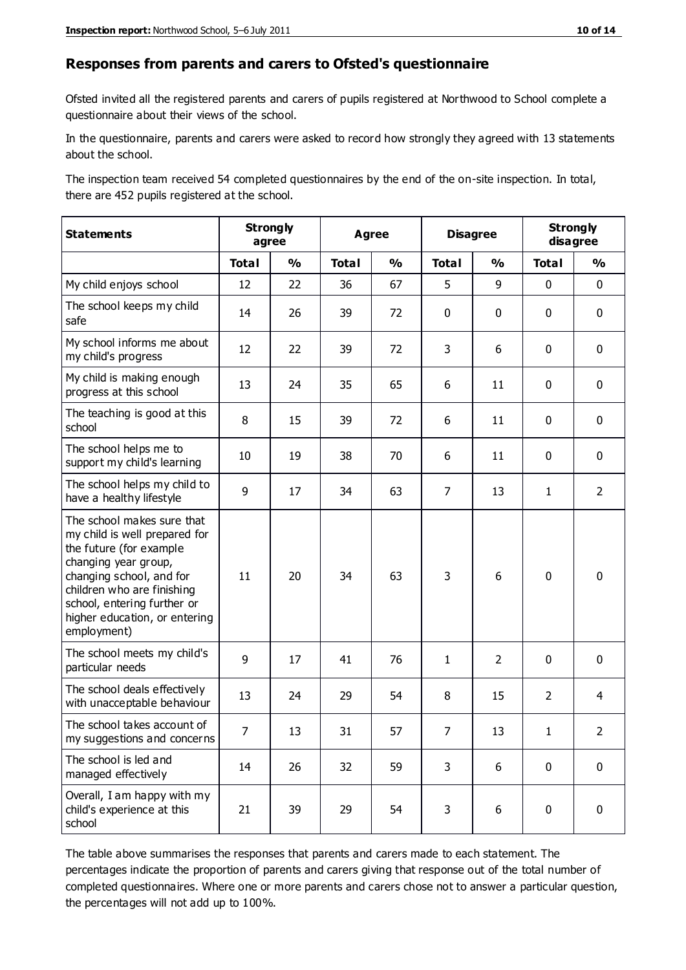#### **Responses from parents and carers to Ofsted's questionnaire**

Ofsted invited all the registered parents and carers of pupils registered at Northwood to School complete a questionnaire about their views of the school.

In the questionnaire, parents and carers were asked to record how strongly they agreed with 13 statements about the school.

The inspection team received 54 completed questionnaires by the end of the on-site inspection. In total, there are 452 pupils registered at the school.

| <b>Statements</b>                                                                                                                                                                                                                                       | <b>Strongly</b><br>agree | <b>Agree</b>  |              |                         | <b>Disagree</b> |                | <b>Strongly</b><br>disagree |                |
|---------------------------------------------------------------------------------------------------------------------------------------------------------------------------------------------------------------------------------------------------------|--------------------------|---------------|--------------|-------------------------|-----------------|----------------|-----------------------------|----------------|
|                                                                                                                                                                                                                                                         | <b>Total</b>             | $\frac{1}{2}$ | <b>Total</b> | $\mathbf{O}/\mathbf{o}$ | <b>Total</b>    | $\frac{1}{2}$  | <b>Total</b>                | $\frac{1}{2}$  |
| My child enjoys school                                                                                                                                                                                                                                  | 12                       | 22            | 36           | 67                      | 5               | 9              | $\mathbf 0$                 | $\mathbf 0$    |
| The school keeps my child<br>safe                                                                                                                                                                                                                       | 14                       | 26            | 39           | 72                      | 0               | 0              | $\mathbf 0$                 | $\mathbf 0$    |
| My school informs me about<br>my child's progress                                                                                                                                                                                                       | 12                       | 22            | 39           | 72                      | 3               | 6              | $\mathbf 0$                 | $\mathbf 0$    |
| My child is making enough<br>progress at this school                                                                                                                                                                                                    | 13                       | 24            | 35           | 65                      | 6               | 11             | $\mathbf 0$                 | $\pmb{0}$      |
| The teaching is good at this<br>school                                                                                                                                                                                                                  | 8                        | 15            | 39           | 72                      | 6               | 11             | $\mathbf 0$                 | $\mathbf 0$    |
| The school helps me to<br>support my child's learning                                                                                                                                                                                                   | 10                       | 19            | 38           | 70                      | 6               | 11             | 0                           | $\mathbf 0$    |
| The school helps my child to<br>have a healthy lifestyle                                                                                                                                                                                                | 9                        | 17            | 34           | 63                      | $\overline{7}$  | 13             | $\mathbf{1}$                | $\overline{2}$ |
| The school makes sure that<br>my child is well prepared for<br>the future (for example<br>changing year group,<br>changing school, and for<br>children who are finishing<br>school, entering further or<br>higher education, or entering<br>employment) | 11                       | 20            | 34           | 63                      | 3               | 6              | $\mathbf 0$                 | $\mathbf 0$    |
| The school meets my child's<br>particular needs                                                                                                                                                                                                         | 9                        | 17            | 41           | 76                      | 1               | $\overline{2}$ | $\mathbf 0$                 | $\mathbf 0$    |
| The school deals effectively<br>with unacceptable behaviour                                                                                                                                                                                             | 13                       | 24            | 29           | 54                      | 8               | 15             | $\overline{2}$              | $\overline{4}$ |
| The school takes account of<br>my suggestions and concerns                                                                                                                                                                                              | $\overline{7}$           | 13            | 31           | 57                      | $\overline{7}$  | 13             | 1                           | $\mathcal{L}$  |
| The school is led and<br>managed effectively                                                                                                                                                                                                            | 14                       | 26            | 32           | 59                      | 3               | 6              | $\mathbf 0$                 | $\mathbf 0$    |
| Overall, I am happy with my<br>child's experience at this<br>school                                                                                                                                                                                     | 21                       | 39            | 29           | 54                      | 3               | 6              | $\mathbf 0$                 | $\mathbf 0$    |

The table above summarises the responses that parents and carers made to each statement. The percentages indicate the proportion of parents and carers giving that response out of the total number of completed questionnaires. Where one or more parents and carers chose not to answer a particular question, the percentages will not add up to 100%.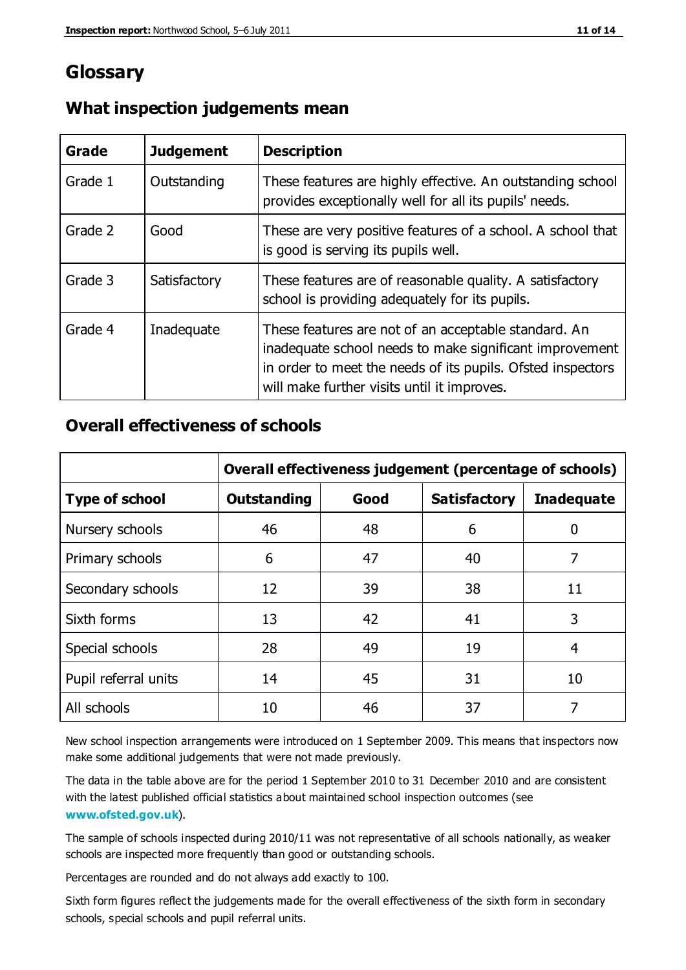# **Glossary**

| Grade   | <b>Judgement</b> | <b>Description</b>                                                                                                                                                                                                            |
|---------|------------------|-------------------------------------------------------------------------------------------------------------------------------------------------------------------------------------------------------------------------------|
| Grade 1 | Outstanding      | These features are highly effective. An outstanding school<br>provides exceptionally well for all its pupils' needs.                                                                                                          |
| Grade 2 | Good             | These are very positive features of a school. A school that<br>is good is serving its pupils well.                                                                                                                            |
| Grade 3 | Satisfactory     | These features are of reasonable quality. A satisfactory<br>school is providing adequately for its pupils.                                                                                                                    |
| Grade 4 | Inadequate       | These features are not of an acceptable standard. An<br>inadequate school needs to make significant improvement<br>in order to meet the needs of its pupils. Ofsted inspectors<br>will make further visits until it improves. |

### **What inspection judgements mean**

# **Overall effectiveness of schools**

|                       | Overall effectiveness judgement (percentage of schools) |      |                     |                   |
|-----------------------|---------------------------------------------------------|------|---------------------|-------------------|
| <b>Type of school</b> | <b>Outstanding</b>                                      | Good | <b>Satisfactory</b> | <b>Inadequate</b> |
| Nursery schools       | 46                                                      | 48   | 6                   |                   |
| Primary schools       | 6                                                       | 47   | 40                  | 7                 |
| Secondary schools     | 12                                                      | 39   | 38                  | 11                |
| Sixth forms           | 13                                                      | 42   | 41                  | 3                 |
| Special schools       | 28                                                      | 49   | 19                  | 4                 |
| Pupil referral units  | 14                                                      | 45   | 31                  | 10                |
| All schools           | 10                                                      | 46   | 37                  |                   |

New school inspection arrangements were introduced on 1 September 2009. This means that inspectors now make some additional judgements that were not made previously.

The data in the table above are for the period 1 September 2010 to 31 December 2010 and are consistent with the latest published official statistics about maintained school inspection outcomes (see **[www.ofsted.gov.uk](http://www.ofsted.gov.uk/)**).

The sample of schools inspected during 2010/11 was not representative of all schools nationally, as weaker schools are inspected more frequently than good or outstanding schools.

Percentages are rounded and do not always add exactly to 100.

Sixth form figures reflect the judgements made for the overall effectiveness of the sixth form in secondary schools, special schools and pupil referral units.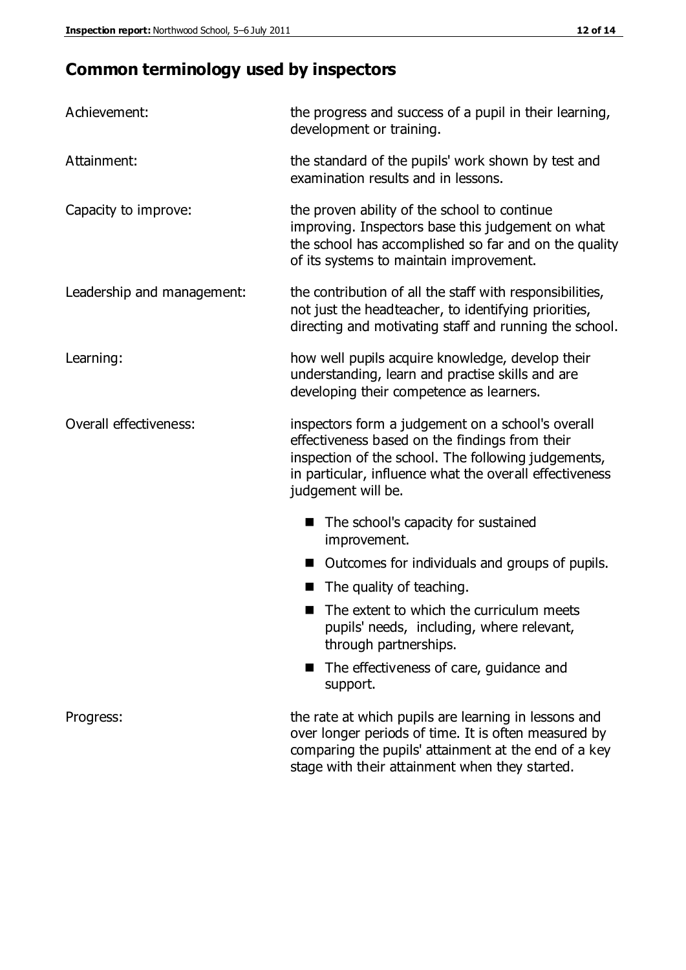# **Common terminology used by inspectors**

| Achievement:                  | the progress and success of a pupil in their learning,<br>development or training.                                                                                                                                                          |  |  |
|-------------------------------|---------------------------------------------------------------------------------------------------------------------------------------------------------------------------------------------------------------------------------------------|--|--|
| Attainment:                   | the standard of the pupils' work shown by test and<br>examination results and in lessons.                                                                                                                                                   |  |  |
| Capacity to improve:          | the proven ability of the school to continue<br>improving. Inspectors base this judgement on what<br>the school has accomplished so far and on the quality<br>of its systems to maintain improvement.                                       |  |  |
| Leadership and management:    | the contribution of all the staff with responsibilities,<br>not just the headteacher, to identifying priorities,<br>directing and motivating staff and running the school.                                                                  |  |  |
| Learning:                     | how well pupils acquire knowledge, develop their<br>understanding, learn and practise skills and are<br>developing their competence as learners.                                                                                            |  |  |
| <b>Overall effectiveness:</b> | inspectors form a judgement on a school's overall<br>effectiveness based on the findings from their<br>inspection of the school. The following judgements,<br>in particular, influence what the overall effectiveness<br>judgement will be. |  |  |
|                               | The school's capacity for sustained<br>improvement.                                                                                                                                                                                         |  |  |
|                               | Outcomes for individuals and groups of pupils.                                                                                                                                                                                              |  |  |
|                               | The quality of teaching.                                                                                                                                                                                                                    |  |  |
|                               | The extent to which the curriculum meets<br>pupils' needs, including, where relevant,<br>through partnerships.                                                                                                                              |  |  |
|                               | The effectiveness of care, guidance and<br>support.                                                                                                                                                                                         |  |  |
| Progress:                     | the rate at which pupils are learning in lessons and<br>over longer periods of time. It is often measured by<br>comparing the pupils' attainment at the end of a key                                                                        |  |  |

stage with their attainment when they started.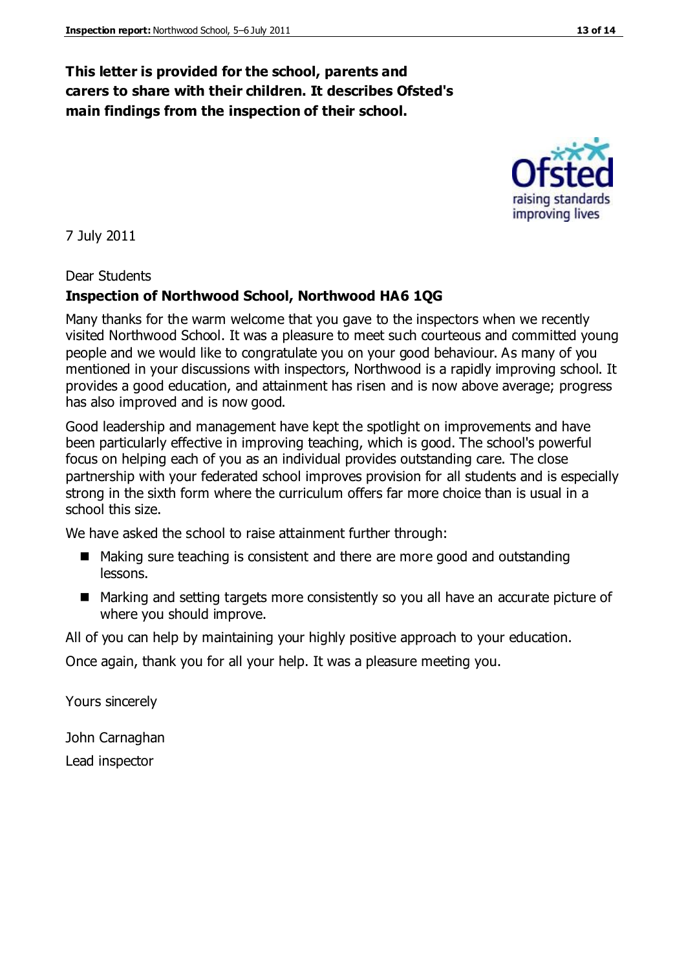# **This letter is provided for the school, parents and carers to share with their children. It describes Ofsted's main findings from the inspection of their school.**

7 July 2011

### Dear Students

# **Inspection of Northwood School, Northwood HA6 1QG**

Many thanks for the warm welcome that you gave to the inspectors when we recently visited Northwood School. It was a pleasure to meet such courteous and committed young people and we would like to congratulate you on your good behaviour. As many of you mentioned in your discussions with inspectors, Northwood is a rapidly improving school. It provides a good education, and attainment has risen and is now above average; progress has also improved and is now good.

Good leadership and management have kept the spotlight on improvements and have been particularly effective in improving teaching, which is good. The school's powerful focus on helping each of you as an individual provides outstanding care. The close partnership with your federated school improves provision for all students and is especially strong in the sixth form where the curriculum offers far more choice than is usual in a school this size.

We have asked the school to raise attainment further through:

- Making sure teaching is consistent and there are more good and outstanding lessons.
- Marking and setting targets more consistently so you all have an accurate picture of where you should improve.

All of you can help by maintaining your highly positive approach to your education.

Once again, thank you for all your help. It was a pleasure meeting you.

Yours sincerely

John Carnaghan Lead inspector